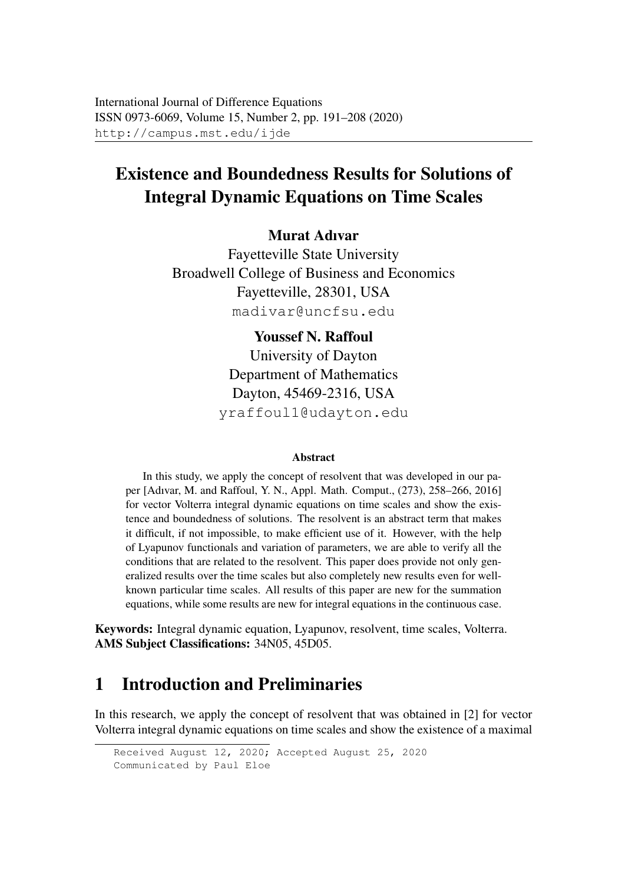# Existence and Boundedness Results for Solutions of Integral Dynamic Equations on Time Scales

#### Murat Adıvar

Fayetteville State University Broadwell College of Business and Economics Fayetteville, 28301, USA madivar@uncfsu.edu

> Youssef N. Raffoul University of Dayton Department of Mathematics Dayton, 45469-2316, USA yraffoul1@udayton.edu

#### Abstract

In this study, we apply the concept of resolvent that was developed in our paper [Adıvar, M. and Raffoul, Y. N., Appl. Math. Comput., (273), 258–266, 2016] for vector Volterra integral dynamic equations on time scales and show the existence and boundedness of solutions. The resolvent is an abstract term that makes it difficult, if not impossible, to make efficient use of it. However, with the help of Lyapunov functionals and variation of parameters, we are able to verify all the conditions that are related to the resolvent. This paper does provide not only generalized results over the time scales but also completely new results even for wellknown particular time scales. All results of this paper are new for the summation equations, while some results are new for integral equations in the continuous case.

Keywords: Integral dynamic equation, Lyapunov, resolvent, time scales, Volterra. AMS Subject Classifications: 34N05, 45D05.

## 1 Introduction and Preliminaries

In this research, we apply the concept of resolvent that was obtained in [2] for vector Volterra integral dynamic equations on time scales and show the existence of a maximal

```
Received August 12, 2020; Accepted August 25, 2020
Communicated by Paul Eloe
```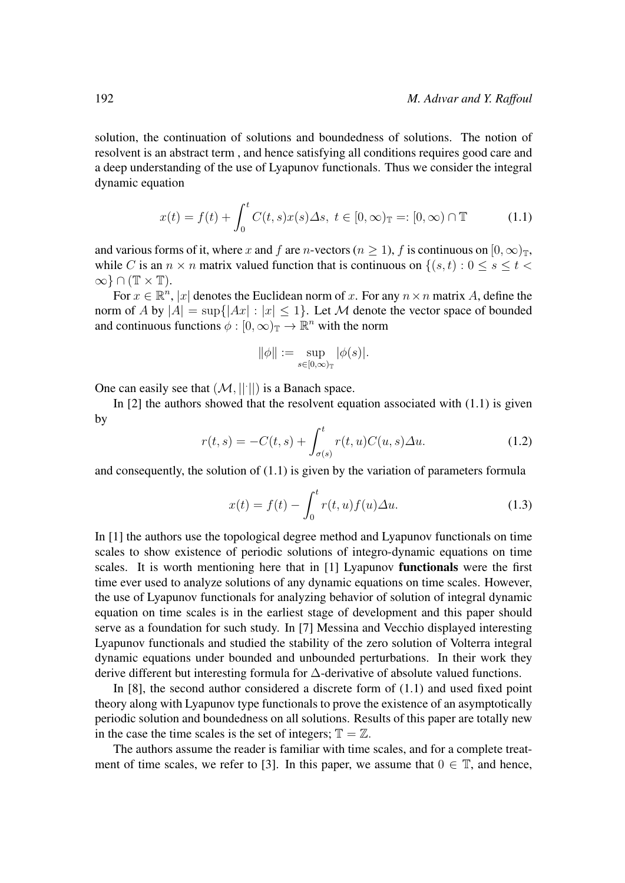solution, the continuation of solutions and boundedness of solutions. The notion of resolvent is an abstract term , and hence satisfying all conditions requires good care and a deep understanding of the use of Lyapunov functionals. Thus we consider the integral dynamic equation

$$
x(t) = f(t) + \int_0^t C(t, s)x(s) \Delta s, \ t \in [0, \infty)_{\mathbb{T}} =: [0, \infty) \cap \mathbb{T}
$$
 (1.1)

and various forms of it, where x and f are n-vectors ( $n \ge 1$ ), f is continuous on  $[0, \infty)_{\mathbb{T}}$ , while C is an  $n \times n$  matrix valued function that is continuous on  $\{(s,t): 0 \le s \le t$  $\infty$ } ∩ (T × T).

For  $x \in \mathbb{R}^n$ , |x| denotes the Euclidean norm of x. For any  $n \times n$  matrix A, define the norm of A by  $|A| = \sup\{|Ax| : |x| \leq 1\}$ . Let M denote the vector space of bounded and continuous functions  $\phi : [0, \infty)_\mathbb{T} \to \mathbb{R}^n$  with the norm

$$
\|\phi\|:=\sup_{s\in[0,\infty)_\mathbb{T}}|\phi(s)|.
$$

One can easily see that  $(M, ||\cdot||)$  is a Banach space.

In  $[2]$  the authors showed that the resolvent equation associated with  $(1.1)$  is given by

$$
r(t,s) = -C(t,s) + \int_{\sigma(s)}^{t} r(t,u)C(u,s)\Delta u.
$$
 (1.2)

and consequently, the solution of (1.1) is given by the variation of parameters formula

$$
x(t) = f(t) - \int_0^t r(t, u) f(u) \Delta u.
$$
 (1.3)

In [1] the authors use the topological degree method and Lyapunov functionals on time scales to show existence of periodic solutions of integro-dynamic equations on time scales. It is worth mentioning here that in [1] Lyapunov functionals were the first time ever used to analyze solutions of any dynamic equations on time scales. However, the use of Lyapunov functionals for analyzing behavior of solution of integral dynamic equation on time scales is in the earliest stage of development and this paper should serve as a foundation for such study. In [7] Messina and Vecchio displayed interesting Lyapunov functionals and studied the stability of the zero solution of Volterra integral dynamic equations under bounded and unbounded perturbations. In their work they derive different but interesting formula for ∆-derivative of absolute valued functions.

In [8], the second author considered a discrete form of (1.1) and used fixed point theory along with Lyapunov type functionals to prove the existence of an asymptotically periodic solution and boundedness on all solutions. Results of this paper are totally new in the case the time scales is the set of integers;  $\mathbb{T} = \mathbb{Z}$ .

The authors assume the reader is familiar with time scales, and for a complete treatment of time scales, we refer to [3]. In this paper, we assume that  $0 \in \mathbb{T}$ , and hence,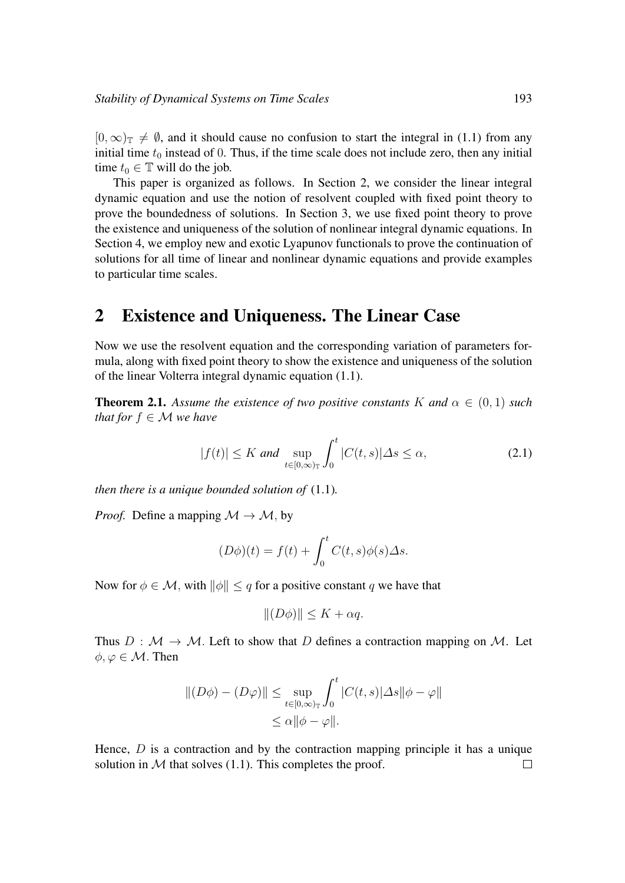$[0,\infty)$ <sub>T</sub>  $\neq$  Ø, and it should cause no confusion to start the integral in (1.1) from any initial time  $t_0$  instead of 0. Thus, if the time scale does not include zero, then any initial time  $t_0 \in \mathbb{T}$  will do the job.

This paper is organized as follows. In Section 2, we consider the linear integral dynamic equation and use the notion of resolvent coupled with fixed point theory to prove the boundedness of solutions. In Section 3, we use fixed point theory to prove the existence and uniqueness of the solution of nonlinear integral dynamic equations. In Section 4, we employ new and exotic Lyapunov functionals to prove the continuation of solutions for all time of linear and nonlinear dynamic equations and provide examples to particular time scales.

#### 2 Existence and Uniqueness. The Linear Case

Now we use the resolvent equation and the corresponding variation of parameters formula, along with fixed point theory to show the existence and uniqueness of the solution of the linear Volterra integral dynamic equation (1.1).

**Theorem 2.1.** Assume the existence of two positive constants K and  $\alpha \in (0,1)$  such *that for*  $f \in M$  *we have* 

$$
|f(t)| \le K \text{ and } \sup_{t \in [0,\infty)_\mathbb{T}} \int_0^t |C(t,s)| \Delta s \le \alpha,
$$
 (2.1)

*then there is a unique bounded solution of* (1.1)*.*

*Proof.* Define a mapping  $\mathcal{M} \rightarrow \mathcal{M}$ , by

$$
(D\phi)(t) = f(t) + \int_0^t C(t,s)\phi(s)\Delta s.
$$

Now for  $\phi \in \mathcal{M}$ , with  $\|\phi\| \leq q$  for a positive constant q we have that

$$
|| (D\phi) || \leq K + \alpha q.
$$

Thus  $D : \mathcal{M} \to \mathcal{M}$ . Left to show that D defines a contraction mapping on M. Let  $\phi, \varphi \in \mathcal{M}$ . Then

$$
||(D\phi) - (D\varphi)|| \le \sup_{t \in [0,\infty)_\mathbb{T}} \int_0^t |C(t,s)| \Delta s ||\phi - \varphi||
$$
  

$$
\le \alpha ||\phi - \varphi||.
$$

Hence,  $D$  is a contraction and by the contraction mapping principle it has a unique solution in  $M$  that solves (1.1). This completes the proof.  $\Box$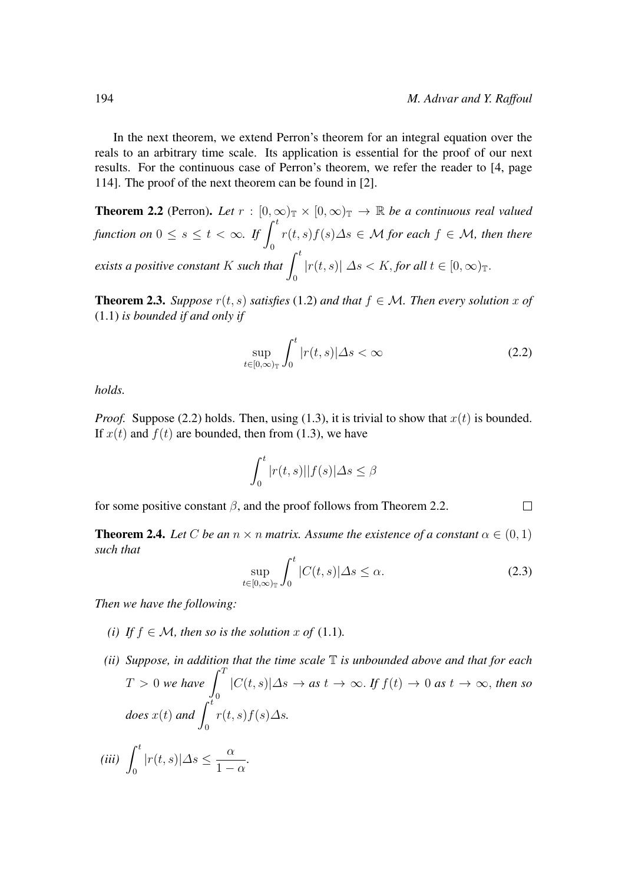In the next theorem, we extend Perron's theorem for an integral equation over the reals to an arbitrary time scale. Its application is essential for the proof of our next results. For the continuous case of Perron's theorem, we refer the reader to [4, page 114]. The proof of the next theorem can be found in [2].

**Theorem 2.2** (Perron). Let  $r : [0, \infty)$   $\mathbb{R} \times [0, \infty)$   $\mathbb{R} \to \mathbb{R}$  *be a continuous real valued function on*  $0 \leq s \leq t < \infty$ *. If*  $\int_0^t$ 0 r(t, s)f(s)∆s ∈ M *for each* f ∈ M*, then there exists a positive constant*  $K$  *such that*  $\int_0^t$ 0  $|r(t, s)| \Delta s < K$ , *for all*  $t \in [0, \infty)$ <sub>T</sub>.

**Theorem 2.3.** *Suppose*  $r(t, s)$  *satisfies* (1.2) *and that*  $f \in M$ *. Then every solution* x of (1.1) *is bounded if and only if*

$$
\sup_{t \in [0,\infty)_\mathbb{T}} \int_0^t |r(t,s)| \Delta s < \infty \tag{2.2}
$$

*holds.*

*Proof.* Suppose (2.2) holds. Then, using (1.3), it is trivial to show that  $x(t)$  is bounded. If  $x(t)$  and  $f(t)$  are bounded, then from (1.3), we have

$$
\int_0^t |r(t,s)||f(s)|\Delta s \le \beta
$$

for some positive constant  $\beta$ , and the proof follows from Theorem 2.2.  $\Box$ 

**Theorem 2.4.** Let C be an  $n \times n$  matrix. Assume the existence of a constant  $\alpha \in (0, 1)$ *such that*

$$
\sup_{t \in [0,\infty)_\mathbb{T}} \int_0^t |C(t,s)| \Delta s \le \alpha. \tag{2.3}
$$

*Then we have the following:*

- *(i)* If  $f \in M$ , then so is the solution x of (1.1).
- *(ii) Suppose, in addition that the time scale* T *is unbounded above and that for each*  $T > 0$  we have  $\int_0^T$  $\boldsymbol{0}$ |C(t, s)|∆s → *as* t → ∞. *If* f(t) → 0 *as* t → ∞, *then so does*  $x(t)$  and  $\int_0^t$ 0 r(t, s)f(s)∆s*. (iii)*  $\int_0^t$ 0  $|r(t, s)| \Delta s \leq \frac{\alpha}{1}$  $\frac{\alpha}{1-\alpha}$ .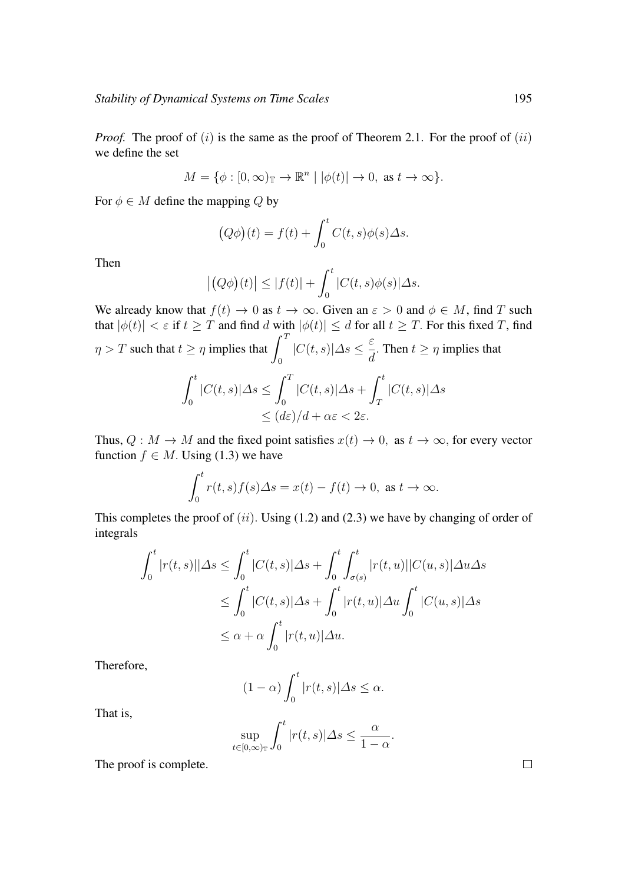*Proof.* The proof of  $(i)$  is the same as the proof of Theorem 2.1. For the proof of  $(ii)$ we define the set

$$
M = \{ \phi : [0, \infty)_{\mathbb{T}} \to \mathbb{R}^n \mid |\phi(t)| \to 0, \text{ as } t \to \infty \}.
$$

For  $\phi \in M$  define the mapping Q by

$$
(Q\phi)(t) = f(t) + \int_0^t C(t,s)\phi(s)\Delta s.
$$

Then

$$
\left| \left( Q\phi \right)(t) \right| \leq |f(t)| + \int_0^t |C(t,s)\phi(s)| \Delta s.
$$

We already know that  $f(t) \to 0$  as  $t \to \infty$ . Given an  $\varepsilon > 0$  and  $\phi \in M$ , find T such that  $|\phi(t)| < \varepsilon$  if  $t \geq T$  and find d with  $|\phi(t)| \leq d$  for all  $t \geq T$ . For this fixed T, find  $\eta > T$  such that  $t \geq \eta$  implies that  $\int_0^T$  $\mathbf{0}$  $|C(t, s)|\Delta s \leq \frac{\varepsilon}{s}$  $\frac{d}{d}$ . Then  $t \geq \eta$  implies that

$$
\int_0^t |C(t,s)|\Delta s \le \int_0^T |C(t,s)|\Delta s + \int_T^t |C(t,s)|\Delta s
$$
  

$$
\le (d\varepsilon)/d + \alpha\varepsilon < 2\varepsilon.
$$

Thus,  $Q: M \to M$  and the fixed point satisfies  $x(t) \to 0$ , as  $t \to \infty$ , for every vector function  $f \in M$ . Using (1.3) we have

$$
\int_0^t r(t,s)f(s)\Delta s = x(t) - f(t) \to 0, \text{ as } t \to \infty.
$$

This completes the proof of  $(ii)$ . Using (1.2) and (2.3) we have by changing of order of integrals

$$
\int_0^t |r(t,s)||\Delta s \le \int_0^t |C(t,s)|\Delta s + \int_0^t \int_{\sigma(s)}^t |r(t,u)||C(u,s)|\Delta u \Delta s
$$
  
\n
$$
\le \int_0^t |C(t,s)|\Delta s + \int_0^t |r(t,u)|\Delta u \int_0^t |C(u,s)|\Delta s
$$
  
\n
$$
\le \alpha + \alpha \int_0^t |r(t,u)|\Delta u.
$$

Therefore,

$$
(1 - \alpha) \int_0^t |r(t, s)| \Delta s \le \alpha.
$$

That is,

$$
\sup_{t \in [0,\infty)_\mathbb{T}} \int_0^t |r(t,s)| \Delta s \le \frac{\alpha}{1-\alpha}.
$$

The proof is complete.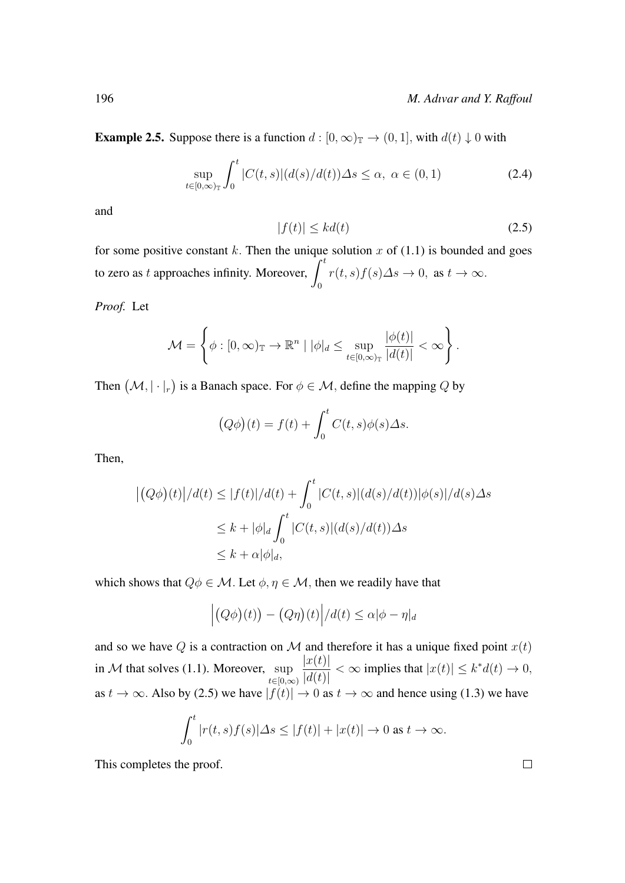**Example 2.5.** Suppose there is a function  $d : [0, \infty)_{\mathbb{T}} \to (0, 1]$ , with  $d(t) \downarrow 0$  with

$$
\sup_{t \in [0,\infty)_\mathbb{T}} \int_0^t |C(t,s)| (d(s)/d(t)) \Delta s \le \alpha, \ \alpha \in (0,1)
$$
 (2.4)

and

$$
|f(t)| \le kd(t) \tag{2.5}
$$

for some positive constant k. Then the unique solution x of  $(1.1)$  is bounded and goes to zero as t approaches infinity. Moreover,  $\int_0^t$ 0  $r(t, s)f(s)\Delta s \to 0$ , as  $t \to \infty$ .

*Proof.* Let

$$
\mathcal{M} = \left\{ \phi : [0, \infty)_{\mathbb{T}} \to \mathbb{R}^n \mid |\phi|_d \leq \sup_{t \in [0, \infty)_{\mathbb{T}}} \frac{|\phi(t)|}{|d(t)|} < \infty \right\}.
$$

Then  $(M, |\cdot|_r)$  is a Banach space. For  $\phi \in \mathcal{M}$ , define the mapping Q by

$$
(Q\phi)(t) = f(t) + \int_0^t C(t,s)\phi(s)\Delta s.
$$

Then,

$$
\left| (Q\phi)(t) \right| / d(t) \le |f(t)| / d(t) + \int_0^t |C(t, s)| (d(s) / d(t)) |\phi(s)| / d(s) \Delta s
$$
  

$$
\le k + |\phi|_d \int_0^t |C(t, s)| (d(s) / d(t)) \Delta s
$$
  

$$
\le k + \alpha |\phi|_d,
$$

which shows that  $Q\phi \in \mathcal{M}$ . Let  $\phi, \eta \in \mathcal{M}$ , then we readily have that

$$
\left| (Q\phi)(t) \right| - (Q\eta)(t) \left| / d(t) \leq \alpha |\phi - \eta|_d \right|
$$

and so we have Q is a contraction on M and therefore it has a unique fixed point  $x(t)$ in  $M$  that solves (1.1). Moreover, sup  $t\in[0,\infty)$  $|x(t)|$  $\frac{|d(t)|}{|d(t)|} < \infty$  implies that  $|x(t)| \leq k^* d(t) \to 0$ , as  $t \to \infty$ . Also by (2.5) we have  $|f(t)| \to 0$  as  $t \to \infty$  and hence using (1.3) we have

$$
\int_0^t |r(t,s)f(s)|\Delta s \le |f(t)| + |x(t)| \to 0 \text{ as } t \to \infty.
$$

This completes the proof.

 $\Box$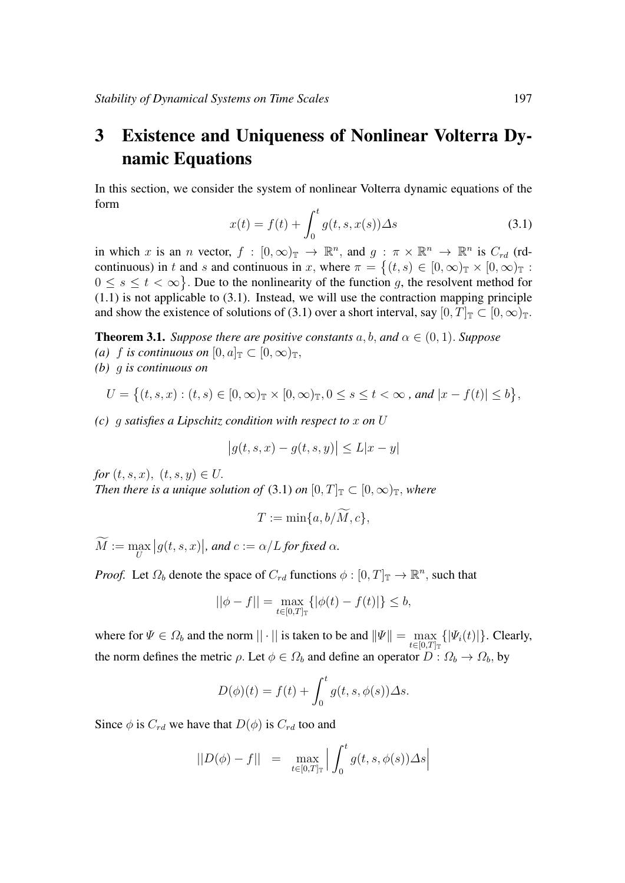# 3 Existence and Uniqueness of Nonlinear Volterra Dynamic Equations

In this section, we consider the system of nonlinear Volterra dynamic equations of the form

$$
x(t) = f(t) + \int_0^t g(t, s, x(s)) \Delta s \tag{3.1}
$$

in which x is an n vector,  $f : [0, \infty)_{\mathbb{T}} \to \mathbb{R}^n$ , and  $g : \pi \times \mathbb{R}^n \to \mathbb{R}^n$  is  $C_{rd}$  (rdcontinuous) in t and s and continuous in x, where  $\pi = \{(t, s) \in [0, \infty)_{\mathbb{T}} \times [0, \infty)_{\mathbb{T}} :$  $0 \leq s \leq t < \infty$ . Due to the nonlinearity of the function g, the resolvent method for  $(1.1)$  is not applicable to  $(3.1)$ . Instead, we will use the contraction mapping principle and show the existence of solutions of (3.1) over a short interval, say  $[0, T]_{\mathbb{T}} \subset [0, \infty)_{\mathbb{T}}$ .

**Theorem 3.1.** *Suppose there are positive constants*  $a, b, and \alpha \in (0, 1)$ *. Suppose (a) f is continuous on*  $[0, a]_{\mathbb{T}} \subset [0, \infty)_{\mathbb{T}}$ .

*(b)* g *is continuous on*

$$
U = \left\{ (t, s, x) : (t, s) \in [0, \infty)_{\mathbb{T}} \times [0, \infty)_{\mathbb{T}}, 0 \le s \le t < \infty, \text{ and } |x - f(t)| \le b \right\},\
$$

*(c)* g *satisfies a Lipschitz condition with respect to* x *on* U

$$
|g(t, s, x) - g(t, s, y)| \le L|x - y|
$$

*for*  $(t, s, x)$ ,  $(t, s, y) \in U$ . *Then there is a unique solution of* (3.1) *on*  $[0, T]_{\mathbb{T}} \subset [0, \infty)_{\mathbb{T}}$ *, where* 

$$
T:=\min\{a,b/\widetilde{M},c\},\
$$

 $M := \max_{U}$  $|g(t, s, x)|$ , and  $c := \alpha/L$  for fixed  $\alpha$ .

*Proof.* Let  $\Omega_b$  denote the space of  $C_{rd}$  functions  $\phi : [0, T]_{\mathbb{T}} \to \mathbb{R}^n$ , such that

$$
||\phi - f|| = \max_{t \in [0,T]_{\mathbb{T}}} \{ |\phi(t) - f(t)| \} \leq b,
$$

where for  $\Psi \in \Omega_b$  and the norm  $||\cdot||$  is taken to be and  $\|\Psi\| = \max_{t \in [0,T]_{\mathbb{T}}} {\{|\Psi_i(t)|\}}$ . Clearly, the norm defines the metric  $\rho$ . Let  $\phi \in \Omega_b$  and define an operator  $D: \Omega_b \to \Omega_b$ , by

$$
D(\phi)(t) = f(t) + \int_0^t g(t, s, \phi(s)) \Delta s.
$$

Since  $\phi$  is  $C_{rd}$  we have that  $D(\phi)$  is  $C_{rd}$  too and

$$
||D(\phi) - f|| = \max_{t \in [0,T]_{\mathbb{T}}} \left| \int_0^t g(t,s,\phi(s)) \Delta s \right|
$$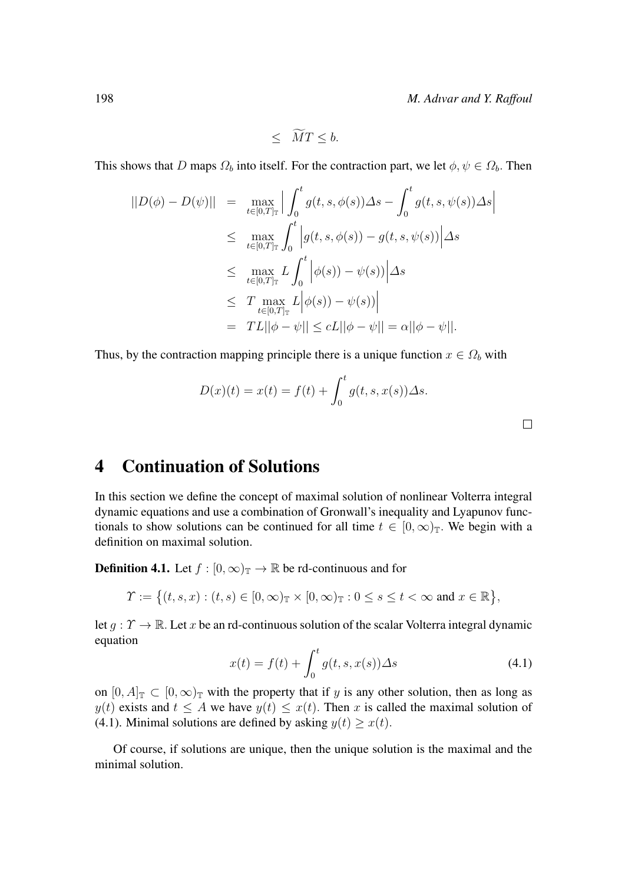$$
\leq MT \leq b.
$$

This shows that D maps  $\Omega_b$  into itself. For the contraction part, we let  $\phi, \psi \in \Omega_b$ . Then

$$
\begin{array}{rcl} ||D(\phi) - D(\psi)|| & = & \max_{t \in [0,T]_{\mathbb{T}}} \Big| \int_{0}^{t} g(t,s,\phi(s)) \Delta s - \int_{0}^{t} g(t,s,\psi(s)) \Delta s \Big| \\ & \leq & \max_{t \in [0,T]_{\mathbb{T}}} \int_{0}^{t} \Big| g(t,s,\phi(s)) - g(t,s,\psi(s)) \Big| \Delta s \\ & \leq & \max_{t \in [0,T]_{\mathbb{T}}} L \int_{0}^{t} \Big| \phi(s)) - \psi(s) \rangle \Big| \Delta s \\ & \leq & T \max_{t \in [0,T]_{\mathbb{T}}} L \Big| \phi(s)) - \psi(s) \rangle \Big| \\ & = & TL \Big| |\phi - \psi| \Big| \leq cL ||\phi - \psi| = \alpha ||\phi - \psi||. \end{array}
$$

Thus, by the contraction mapping principle there is a unique function  $x \in \Omega_b$  with

$$
D(x)(t) = x(t) = f(t) + \int_0^t g(t, s, x(s)) \Delta s.
$$

 $\Box$ 

### 4 Continuation of Solutions

In this section we define the concept of maximal solution of nonlinear Volterra integral dynamic equations and use a combination of Gronwall's inequality and Lyapunov functionals to show solutions can be continued for all time  $t \in [0,\infty)$ <sub>T</sub>. We begin with a definition on maximal solution.

**Definition 4.1.** Let  $f : [0, \infty)_{\mathbb{T}} \to \mathbb{R}$  be rd-continuous and for

$$
\Upsilon := \big\{ (t,s,x) : (t,s) \in [0,\infty)_{\mathbb{T}} \times [0,\infty)_{\mathbb{T}} : 0 \le s \le t < \infty \text{ and } x \in \mathbb{R} \big\},\
$$

let  $q: \Upsilon \to \mathbb{R}$ . Let x be an rd-continuous solution of the scalar Volterra integral dynamic equation

$$
x(t) = f(t) + \int_0^t g(t, s, x(s)) \Delta s \tag{4.1}
$$

on  $[0, A]_{\mathbb{T}} \subset [0, \infty)_{\mathbb{T}}$  with the property that if y is any other solution, then as long as  $y(t)$  exists and  $t \leq A$  we have  $y(t) \leq x(t)$ . Then x is called the maximal solution of (4.1). Minimal solutions are defined by asking  $y(t) \geq x(t)$ .

Of course, if solutions are unique, then the unique solution is the maximal and the minimal solution.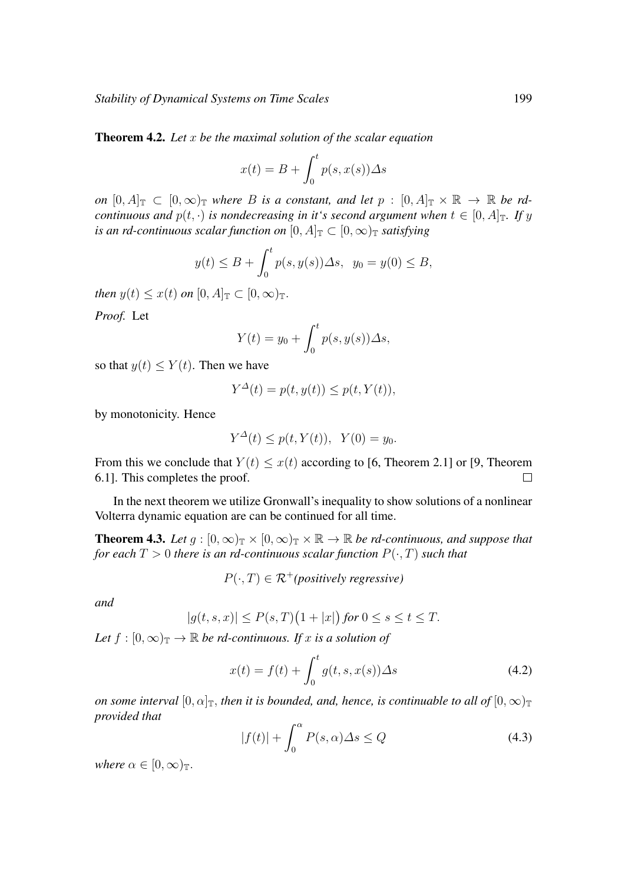*Stability of Dynamical Systems on Time Scales* 199

Theorem 4.2. *Let* x *be the maximal solution of the scalar equation*

$$
x(t) = B + \int_0^t p(s, x(s)) \Delta s
$$

*on*  $[0, A]_{\mathbb{T}} \subset [0, \infty)_{\mathbb{T}}$  *where B is a constant, and let*  $p : [0, A]_{\mathbb{T}} \times \mathbb{R} \to \mathbb{R}$  *be rdcontinuous and*  $p(t, \cdot)$  *is nondecreasing in it's second argument when*  $t \in [0, A]_T$ *. If y is an rd-continuous scalar function on*  $[0, A]_T \subset [0, \infty)_T$  *satisfying* 

$$
y(t) \le B + \int_0^t p(s, y(s)) \Delta s, \ y_0 = y(0) \le B,
$$

*then*  $y(t) \leq x(t)$  *on*  $[0, A]_{\mathbb{T}} \subset [0, \infty)_{\mathbb{T}}$ .

*Proof.* Let

$$
Y(t) = y_0 + \int_0^t p(s, y(s)) \Delta s,
$$

so that  $y(t) \leq Y(t)$ . Then we have

$$
Y^{\Delta}(t) = p(t, y(t)) \le p(t, Y(t)),
$$

by monotonicity. Hence

$$
Y^{\Delta}(t) \le p(t, Y(t)), \ \ Y(0) = y_0.
$$

From this we conclude that  $Y(t) \leq x(t)$  according to [6, Theorem 2.1] or [9, Theorem 6.1]. This completes the proof.  $\Box$ 

In the next theorem we utilize Gronwall's inequality to show solutions of a nonlinear Volterra dynamic equation are can be continued for all time.

**Theorem 4.3.** *Let*  $g : [0, \infty)_{\mathbb{T}} \times [0, \infty)_{\mathbb{T}} \times \mathbb{R} \to \mathbb{R}$  *be rd-continuous, and suppose that for each*  $T > 0$  *there is an rd-continuous scalar function*  $P(\cdot, T)$  *such that* 

 $P(\cdot, T) \in \mathcal{R}^+$ *(positively regressive)* 

*and*

$$
|g(t,s,x)| \le P(s,T)\big(1+|x|\big)\text{ for }0 \le s \le t \le T.
$$

*Let*  $f : [0, \infty)$ <sub>T</sub>  $\rightarrow \mathbb{R}$  *be rd-continuous. If* x *is a solution of* 

$$
x(t) = f(t) + \int_0^t g(t, s, x(s)) \Delta s \tag{4.2}
$$

*on some interval*  $[0, \alpha]_{\mathbb{T}}$ , *then it is bounded, and, hence, is continuable to all of*  $[0, \infty)_{\mathbb{T}}$ *provided that*

$$
|f(t)| + \int_0^\alpha P(s, \alpha) \Delta s \le Q \tag{4.3}
$$

*where*  $\alpha \in [0, \infty)$ <sub>T</sub>.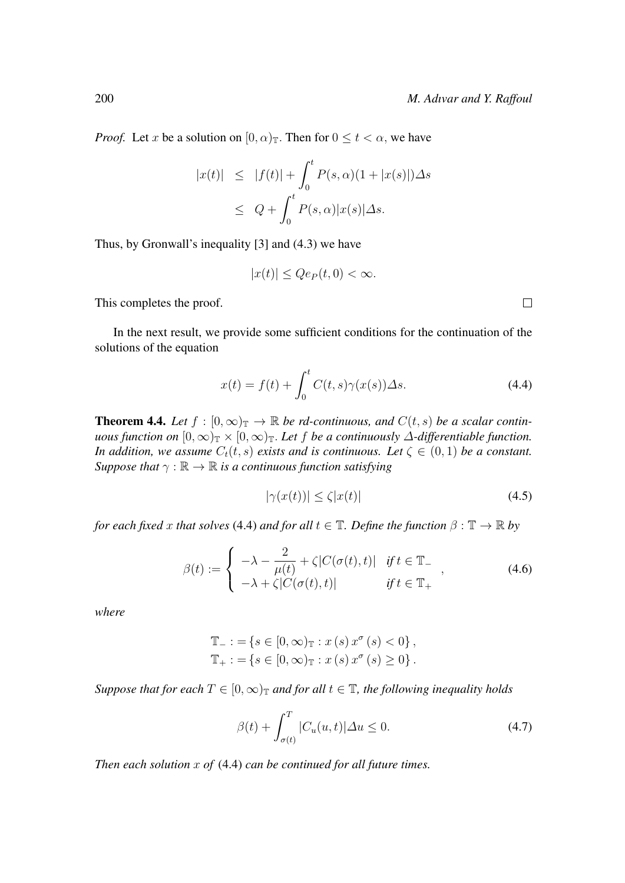*Proof.* Let x be a solution on  $[0, \alpha)$ <sub>T</sub>. Then for  $0 \le t < \alpha$ , we have

$$
|x(t)| \leq |f(t)| + \int_0^t P(s, \alpha)(1 + |x(s)|) \Delta s
$$
  

$$
\leq Q + \int_0^t P(s, \alpha) |x(s)| \Delta s.
$$

Thus, by Gronwall's inequality [3] and (4.3) we have

$$
|x(t)| \leq Qe_P(t,0) < \infty.
$$

This completes the proof.

In the next result, we provide some sufficient conditions for the continuation of the solutions of the equation

$$
x(t) = f(t) + \int_0^t C(t, s)\gamma(x(s))\Delta s.
$$
 (4.4)

**Theorem 4.4.** Let  $f : [0, \infty)$ <sub>T</sub>  $\rightarrow \mathbb{R}$  *be rd-continuous, and*  $C(t, s)$  *be a scalar continuous function on*  $[0,\infty)_{\mathbb{T}} \times [0,\infty)_{\mathbb{T}}$ *. Let f be a continuously*  $\Delta$ *-differentiable function. In addition, we assume*  $C_t(t, s)$  *exists and is continuous. Let*  $\zeta \in (0, 1)$  *be a constant. Suppose that*  $\gamma : \mathbb{R} \to \mathbb{R}$  *is a continuous function satisfying* 

$$
|\gamma(x(t))| \le \zeta |x(t)| \tag{4.5}
$$

*for each fixed* x *that solves* (4.4) *and for all*  $t \in \mathbb{T}$ *. Define the function*  $\beta : \mathbb{T} \to \mathbb{R}$  *by* 

$$
\beta(t) := \begin{cases}\n-\lambda - \frac{2}{\mu(t)} + \zeta |C(\sigma(t), t)| & \text{if } t \in \mathbb{T}_-\n\\
-\lambda + \zeta |C(\sigma(t), t)| & \text{if } t \in \mathbb{T}_+\n\end{cases},\n\tag{4.6}
$$

*where*

$$
\mathbb{T}_{-} : = \{ s \in [0, \infty)_{\mathbb{T}} : x (s) x^{\sigma} (s) < 0 \},
$$
  

$$
\mathbb{T}_{+} : = \{ s \in [0, \infty)_{\mathbb{T}} : x (s) x^{\sigma} (s) \ge 0 \}.
$$

*Suppose that for each*  $T \in [0, \infty)$ <sub>T</sub> *and for all*  $t \in \mathbb{T}$ *, the following inequality holds* 

$$
\beta(t) + \int_{\sigma(t)}^{T} |C_u(u, t)| \Delta u \le 0.
$$
\n(4.7)

*Then each solution* x *of* (4.4) *can be continued for all future times.*

 $\Box$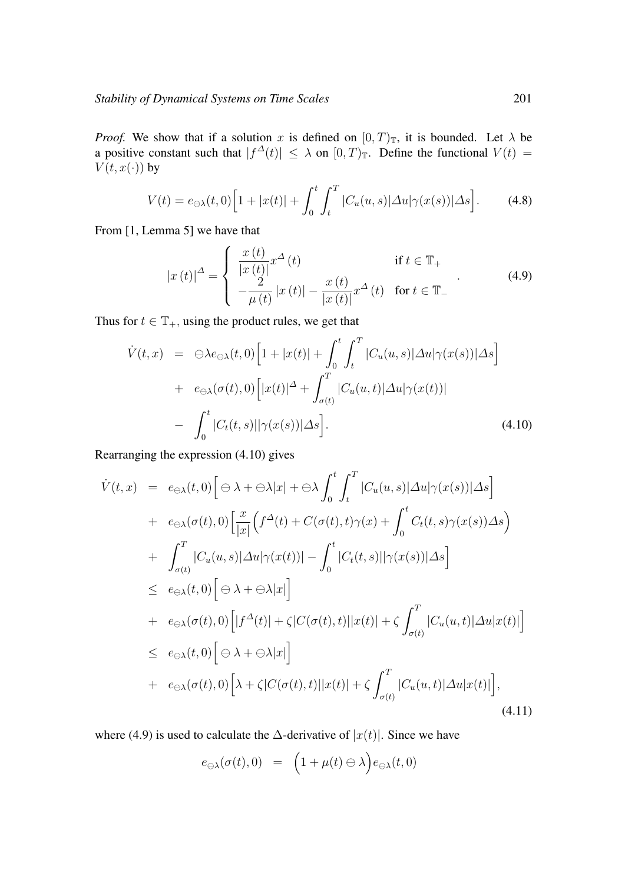*Proof.* We show that if a solution x is defined on  $[0, T)$ <sub>T</sub>, it is bounded. Let  $\lambda$  be a positive constant such that  $|f^{\Delta}(t)| \leq \lambda$  on  $[0,T)$ <sub>T</sub>. Define the functional  $V(t) =$  $V(t, x(\cdot))$  by

$$
V(t) = e_{\ominus \lambda}(t,0) \Big[ 1 + |x(t)| + \int_0^t \int_t^T |C_u(u,s)| \Delta u | \gamma(x(s))| \Delta s \Big]. \tag{4.8}
$$

From [1, Lemma 5] we have that

$$
|x(t)|^{\Delta} = \begin{cases} \frac{x(t)}{|x(t)|} x^{\Delta}(t) & \text{if } t \in \mathbb{T}_{+} \\ -\frac{2}{\mu(t)} |x(t)| - \frac{x(t)}{|x(t)|} x^{\Delta}(t) & \text{for } t \in \mathbb{T}_{-} \end{cases}
$$
(4.9)

Thus for  $t \in \mathbb{T}_+$ , using the product rules, we get that

$$
\dot{V}(t,x) = \Theta \lambda e_{\Theta \lambda}(t,0) \Big[ 1 + |x(t)| + \int_0^t \int_t^T |C_u(u,s)| \Delta u | \gamma(x(s))| \Delta s \Big] \n+ e_{\Theta \lambda}(\sigma(t),0) \Big[ |x(t)|^{\Delta} + \int_{\sigma(t)}^T |C_u(u,t)| \Delta u | \gamma(x(t))| \n- \int_0^t |C_t(t,s)| |\gamma(x(s))| \Delta s \Big].
$$
\n(4.10)

Rearranging the expression (4.10) gives

$$
\dot{V}(t,x) = e_{\ominus\lambda}(t,0) \Big[ \ominus \lambda + \ominus \lambda |x| + \ominus \lambda \int_0^t \int_t^T |C_u(u,s)| \Delta u | \gamma(x(s))| \Delta s \Big] \n+ e_{\ominus\lambda}(\sigma(t),0) \Big[ \frac{x}{|x|} \Big( f^{\Delta}(t) + C(\sigma(t),t) \gamma(x) + \int_0^t C_t(t,s) \gamma(x(s)) \Delta s \Big) \n+ \int_{\sigma(t)}^T |C_u(u,s)| \Delta u | \gamma(x(t))| - \int_0^t |C_t(t,s)| |\gamma(x(s))| \Delta s \Big] \n\le e_{\ominus\lambda}(t,0) \Big[ \ominus \lambda + \ominus \lambda |x| \Big] \n+ e_{\ominus\lambda}(\sigma(t),0) \Big[ |f^{\Delta}(t)| + \zeta |C(\sigma(t),t)| |x(t)| + \zeta \int_{\sigma(t)}^T |C_u(u,t)| \Delta u |x(t)| \Big] \n+ e_{\ominus\lambda}(\sigma(t),0) \Big[ \lambda + \ominus \lambda |x| \Big] \n+ e_{\ominus\lambda}(\sigma(t),0) \Big[ \lambda + \zeta |C(\sigma(t),t)| |x(t)| + \zeta \int_{\sigma(t)}^T |C_u(u,t)| \Delta u |x(t)| \Big],
$$
\n(4.11)

where (4.9) is used to calculate the  $\Delta$ -derivative of  $|x(t)|$ . Since we have

$$
e_{\ominus \lambda}(\sigma(t),0) = \left(1 + \mu(t) \ominus \lambda\right) e_{\ominus \lambda}(t,0)
$$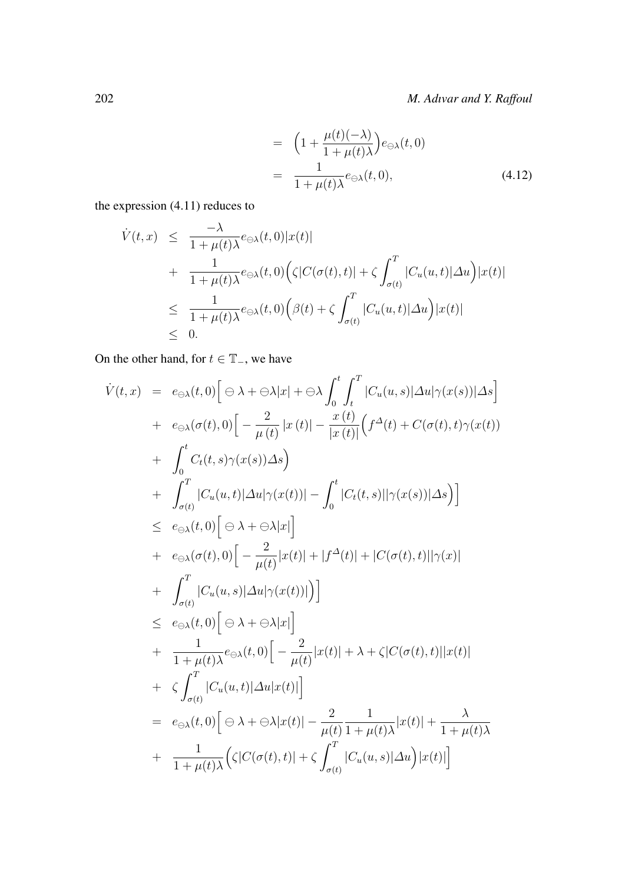$$
= \left(1 + \frac{\mu(t)(-\lambda)}{1 + \mu(t)\lambda}\right) e_{\ominus \lambda}(t,0)
$$

$$
= \frac{1}{1 + \mu(t)\lambda} e_{\ominus \lambda}(t,0), \tag{4.12}
$$

the expression (4.11) reduces to

$$
\dot{V}(t,x) \leq \frac{-\lambda}{1+\mu(t)\lambda} e_{\ominus\lambda}(t,0)|x(t)|
$$
\n
$$
+ \frac{1}{1+\mu(t)\lambda} e_{\ominus\lambda}(t,0) \Big( \zeta | C(\sigma(t),t) | + \zeta \int_{\sigma(t)}^T |C_u(u,t)| \Delta u \Big) |x(t)|
$$
\n
$$
\leq \frac{1}{1+\mu(t)\lambda} e_{\ominus\lambda}(t,0) \Big( \beta(t) + \zeta \int_{\sigma(t)}^T |C_u(u,t)| \Delta u \Big) |x(t)|
$$
\n
$$
\leq 0.
$$

On the other hand, for  $t \in \mathbb{T}_-$ , we have

$$
\dot{V}(t,x) = e_{\ominus\lambda}(t,0) \Big[ \ominus \lambda + \ominus \lambda \Big]_{0}^{t} \int_{t}^{T} |C_{u}(u,s)| \Delta u | \gamma(x(s))| \Delta s \Big] \n+ e_{\ominus\lambda}(\sigma(t),0) \Big[ -\frac{2}{\mu(t)} |x(t)| - \frac{x(t)}{|x(t)|} \Big( f^{\Delta}(t) + C(\sigma(t),t) \gamma(x(t)) \Big) \n+ \int_{0}^{t} C_{t}(t,s) \gamma(x(s)) \Delta s \Big) \n+ \int_{\sigma(t)}^{T} |C_{u}(u,t)| \Delta u | \gamma(x(t))| - \int_{0}^{t} |C_{t}(t,s)| |\gamma(x(s))| \Delta s \Big) \Big] \n\leq e_{\ominus\lambda}(t,0) \Big[ \ominus \lambda + \ominus \lambda |x| \Big] \n+ e_{\ominus\lambda}(\sigma(t),0) \Big[ -\frac{2}{\mu(t)} |x(t)| + |f^{\Delta}(t)| + |C(\sigma(t),t)| |\gamma(x)| \n+ \int_{\sigma(t)}^{T} |C_{u}(u,s)| \Delta u | \gamma(x(t))| \Big) \Big] \n+ \frac{1}{1 + \mu(t)\lambda} e_{\ominus\lambda}(t,0) \Big[ -\frac{2}{\mu(t)} |x(t)| + \lambda + \zeta |C(\sigma(t),t)| |x(t)| \n+ \zeta \int_{\sigma(t)}^{T} |C_{u}(u,t)| \Delta u |x(t)| \Big]
$$
\n
$$
= e_{\ominus\lambda}(t,0) \Big[ \ominus \lambda + \ominus \lambda |x(t)| - \frac{2}{\mu(t)} \frac{1}{1 + \mu(t)\lambda} |x(t)| + \frac{\lambda}{1 + \mu(t)\lambda} + \frac{1}{1 + \mu(t)\lambda} \Big( \zeta |C(\sigma(t),t)| + \zeta \int_{\sigma(t)}^{T} |C_{u}(u,s)| \Delta u \Big) |x(t)| \Big]
$$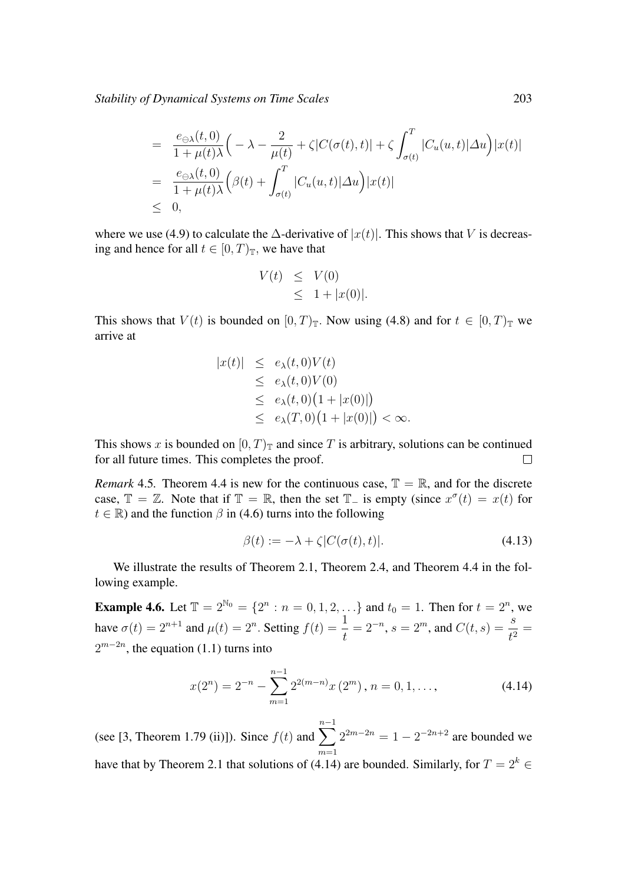*Stability of Dynamical Systems on Time Scales* 203

$$
= \frac{e_{\ominus \lambda}(t,0)}{1+\mu(t)\lambda} \Big(-\lambda - \frac{2}{\mu(t)} + \zeta |C(\sigma(t),t)| + \zeta \int_{\sigma(t)}^T |C_u(u,t)| \Delta u \Big) |x(t)|
$$
  

$$
= \frac{e_{\ominus \lambda}(t,0)}{1+\mu(t)\lambda} \Big(\beta(t) + \int_{\sigma(t)}^T |C_u(u,t)| \Delta u \Big) |x(t)|
$$
  

$$
\leq 0,
$$

where we use (4.9) to calculate the  $\Delta$ -derivative of  $|x(t)|$ . This shows that V is decreasing and hence for all  $t \in [0, T)_{\mathbb{T}}$ , we have that

$$
V(t) \leq V(0)
$$
  

$$
\leq 1 + |x(0)|.
$$

This shows that  $V(t)$  is bounded on  $[0, T)_{\mathbb{T}}$ . Now using (4.8) and for  $t \in [0, T)_{\mathbb{T}}$  we arrive at

$$
|x(t)| \leq e_{\lambda}(t,0)V(t)
$$
  
\n
$$
\leq e_{\lambda}(t,0)V(0)
$$
  
\n
$$
\leq e_{\lambda}(t,0) \left(1+|x(0)|\right)
$$
  
\n
$$
\leq e_{\lambda}(T,0) \left(1+|x(0)|\right) < \infty.
$$

This shows x is bounded on  $[0, T)$ <sub>T</sub> and since T is arbitrary, solutions can be continued for all future times. This completes the proof.  $\Box$ 

*Remark* 4.5. Theorem 4.4 is new for the continuous case,  $\mathbb{T} = \mathbb{R}$ , and for the discrete case,  $\mathbb{T} = \mathbb{Z}$ . Note that if  $\mathbb{T} = \mathbb{R}$ , then the set  $\mathbb{T}_-$  is empty (since  $x^{\sigma}(t) = x(t)$  for  $t \in \mathbb{R}$ ) and the function  $\beta$  in (4.6) turns into the following

$$
\beta(t) := -\lambda + \zeta |C(\sigma(t), t)|. \tag{4.13}
$$

We illustrate the results of Theorem 2.1, Theorem 2.4, and Theorem 4.4 in the following example.

**Example 4.6.** Let  $\mathbb{T} = 2^{\mathbb{N}_0} = \{2^n : n = 0, 1, 2, \ldots\}$  and  $t_0 = 1$ . Then for  $t = 2^n$ , we have  $\sigma(t) = 2^{n+1}$  and  $\mu(t) = 2^n$ . Setting  $f(t) = \frac{1}{t}$  $= 2^{-n}, s = 2^m$ , and  $C(t, s) = \frac{s}{t^2} =$  $2^{m-2n}$ , the equation (1.1) turns into

$$
x(2^n) = 2^{-n} - \sum_{m=1}^{n-1} 2^{2(m-n)} x(2^m), n = 0, 1, ...,
$$
 (4.14)

(see [3, Theorem 1.79 (ii)]). Since  $f(t)$  and  $\sum_{n=1}^{n-1}$  $m=1$  $2^{2m-2n} = 1 - 2^{-2n+2}$  are bounded we have that by Theorem 2.1 that solutions of (4.14) are bounded. Similarly, for  $T = 2^k \in$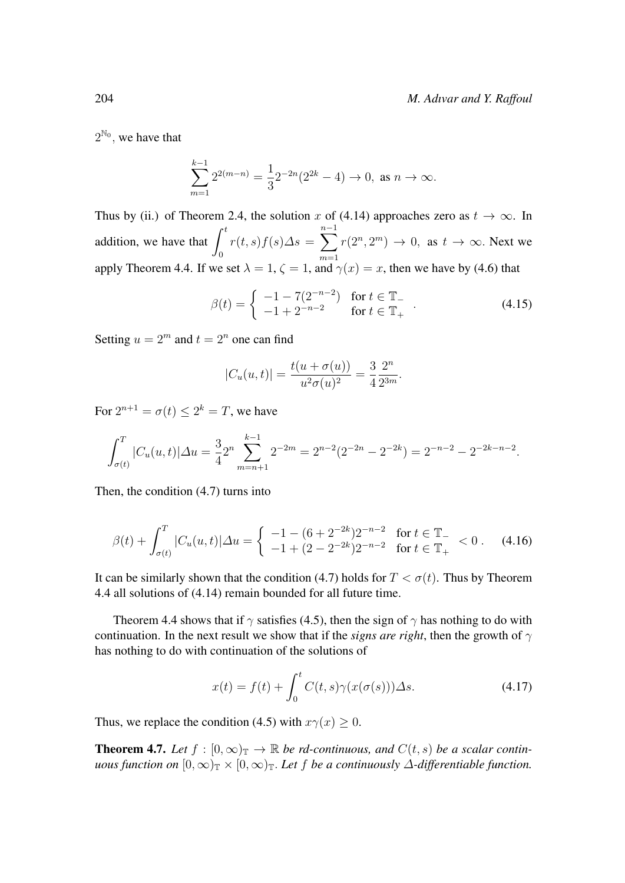$2^{\mathbb{N}_0}$ , we have that

$$
\sum_{m=1}^{k-1} 2^{2(m-n)} = \frac{1}{3} 2^{-2n} (2^{2k} - 4) \to 0, \text{ as } n \to \infty.
$$

Thus by (ii.) of Theorem 2.4, the solution x of (4.14) approaches zero as  $t \to \infty$ . In addition, we have that  $\int_0^t$  $\boldsymbol{0}$  $r(t,s)f(s)\Delta s = \sum_{n=1}^{n-1}$  $m=1$  $r(2^n, 2^m) \to 0$ , as  $t \to \infty$ . Next we apply Theorem 4.4. If we set  $\lambda = 1$ ,  $\zeta = 1$ , and  $\gamma(x) = x$ , then we have by (4.6) that

$$
\beta(t) = \begin{cases}\n-1 - 7(2^{-n-2}) & \text{for } t \in \mathbb{T}_- \\
-1 + 2^{-n-2} & \text{for } t \in \mathbb{T}_+\n\end{cases} .
$$
\n(4.15)

Setting  $u = 2^m$  and  $t = 2^n$  one can find

$$
|C_u(u,t)| = \frac{t(u + \sigma(u))}{u^2 \sigma(u)^2} = \frac{3}{4} \frac{2^n}{2^{3m}}.
$$

For  $2^{n+1} = \sigma(t) \leq 2^k = T$ , we have

$$
\int_{\sigma(t)}^{T} |C_u(u,t)| \Delta u = \frac{3}{4} 2^n \sum_{m=n+1}^{k-1} 2^{-2m} = 2^{n-2} (2^{-2n} - 2^{-2k}) = 2^{-n-2} - 2^{-2k-n-2}.
$$

Then, the condition (4.7) turns into

$$
\beta(t) + \int_{\sigma(t)}^{T} |C_u(u, t)| \Delta u = \begin{cases} -1 - (6 + 2^{-2k})2^{-n-2} & \text{for } t \in \mathbb{T}_- \\ -1 + (2 - 2^{-2k})2^{-n-2} & \text{for } t \in \mathbb{T}_+ \end{cases} < 0. \tag{4.16}
$$

It can be similarly shown that the condition (4.7) holds for  $T < \sigma(t)$ . Thus by Theorem 4.4 all solutions of (4.14) remain bounded for all future time.

Theorem 4.4 shows that if  $\gamma$  satisfies (4.5), then the sign of  $\gamma$  has nothing to do with continuation. In the next result we show that if the *signs are right*, then the growth of  $\gamma$ has nothing to do with continuation of the solutions of

$$
x(t) = f(t) + \int_0^t C(t, s) \gamma(x(\sigma(s))) \Delta s.
$$
 (4.17)

Thus, we replace the condition (4.5) with  $x\gamma(x) \geq 0$ .

**Theorem 4.7.** Let  $f : [0, \infty)$   $]$   $\rightarrow \mathbb{R}$  *be rd-continuous, and*  $C(t, s)$  *be a scalar continuous function on*  $[0,\infty)_{\mathbb{T}} \times [0,\infty)_{\mathbb{T}}$ . Let f be a continuously  $\Delta$ -differentiable function.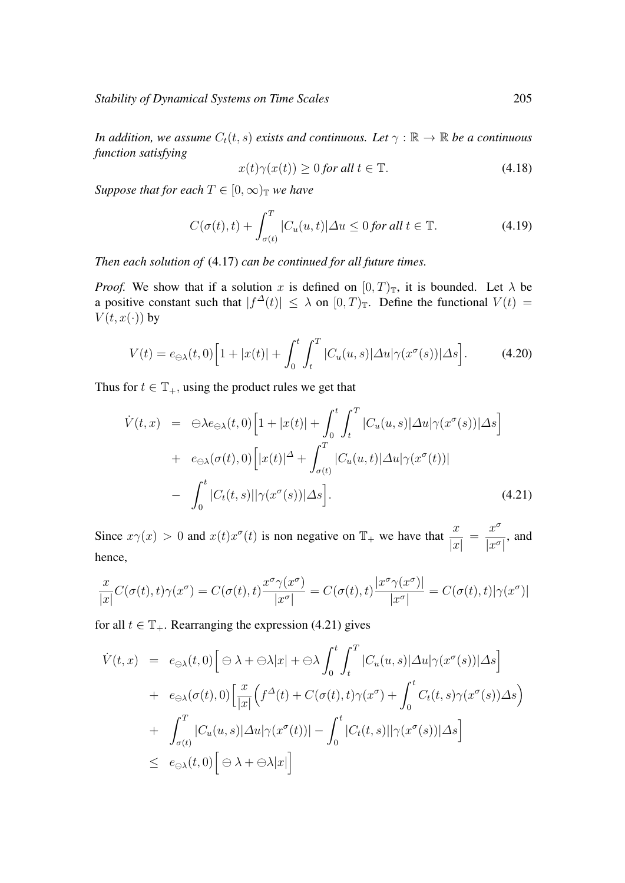*In addition, we assume*  $C_t(t, s)$  *exists and continuous. Let*  $\gamma : \mathbb{R} \to \mathbb{R}$  *be a continuous function satisfying*

$$
x(t)\gamma(x(t)) \ge 0 \text{ for all } t \in \mathbb{T}.\tag{4.18}
$$

*Suppose that for each*  $T \in [0, \infty)$ <sub>*T*</sub> *we have* 

$$
C(\sigma(t),t) + \int_{\sigma(t)}^{T} |C_u(u,t)| \Delta u \le 0 \text{ for all } t \in \mathbb{T}.
$$
 (4.19)

*Then each solution of* (4.17) *can be continued for all future times.*

*Proof.* We show that if a solution x is defined on  $[0, T)$ <sub>T</sub>, it is bounded. Let  $\lambda$  be a positive constant such that  $|f^{\Delta}(t)| \leq \lambda$  on  $[0, T)_{\mathbb{T}}$ . Define the functional  $V(t) =$  $V(t, x(\cdot))$  by

$$
V(t) = e_{\ominus \lambda}(t,0) \Big[ 1 + |x(t)| + \int_0^t \int_t^T |C_u(u,s)| \Delta u | \gamma(x^{\sigma}(s))| \Delta s \Big]. \tag{4.20}
$$

Thus for  $t \in \mathbb{T}_+$ , using the product rules we get that

$$
\dot{V}(t,x) = \Theta \lambda e_{\Theta \lambda}(t,0) \Big[ 1 + |x(t)| + \int_0^t \int_t^T |C_u(u,s)| \Delta u | \gamma(x^{\sigma}(s))| \Delta s \Big] \n+ e_{\Theta \lambda}(\sigma(t),0) \Big[ |x(t)|^{\Delta} + \int_{\sigma(t)}^T |C_u(u,t)| \Delta u | \gamma(x^{\sigma}(t))| \n- \int_0^t |C_t(t,s)| |\gamma(x^{\sigma}(s))| \Delta s \Big].
$$
\n(4.21)

Since  $x\gamma(x) > 0$  and  $x(t)x^{\sigma}(t)$  is non negative on  $\mathbb{T}_+$  we have that  $\frac{x}{|x|}$ =  $x^{\sigma}$  $\frac{d}{|x^{\sigma}|}$ , and hence,

$$
\frac{x}{|x|}C(\sigma(t),t)\gamma(x^{\sigma}) = C(\sigma(t),t)\frac{x^{\sigma}\gamma(x^{\sigma})}{|x^{\sigma}|} = C(\sigma(t),t)\frac{|x^{\sigma}\gamma(x^{\sigma})|}{|x^{\sigma}|} = C(\sigma(t),t)|\gamma(x^{\sigma})|
$$

for all  $t \in \mathbb{T}_+$ . Rearranging the expression (4.21) gives

$$
\dot{V}(t,x) = e_{\ominus \lambda}(t,0) \Big[ \ominus \lambda + \ominus \lambda |x| + \ominus \lambda \int_0^t \int_t^T |C_u(u,s)| \Delta u | \gamma(x^{\sigma}(s))| \Delta s \Big] \n+ e_{\ominus \lambda}(\sigma(t),0) \Big[ \frac{x}{|x|} \Big( f^{\Delta}(t) + C(\sigma(t),t) \gamma(x^{\sigma}) + \int_0^t C_t(t,s) \gamma(x^{\sigma}(s)) \Delta s \Big) \n+ \int_{\sigma(t)}^T |C_u(u,s)| \Delta u | \gamma(x^{\sigma}(t))| - \int_0^t |C_t(t,s)| | \gamma(x^{\sigma}(s))| \Delta s \Big] \n\le e_{\ominus \lambda}(t,0) \Big[ \ominus \lambda + \ominus \lambda |x| \Big]
$$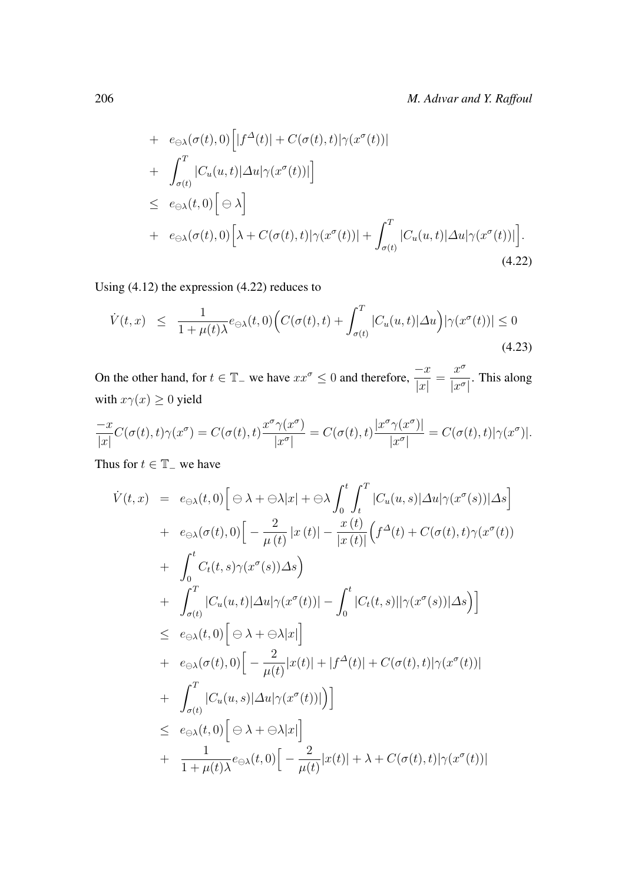+ 
$$
e_{\ominus\lambda}(\sigma(t),0)\Big[|f^{\Delta}(t)|+C(\sigma(t),t)|\gamma(x^{\sigma}(t))|
$$
  
+  $\int_{\sigma(t)}^{T} |C_u(u,t)|\Delta u|\gamma(x^{\sigma}(t))|\Big]$   
 $\leq e_{\ominus\lambda}(t,0)\Big[\ominus\lambda\Big]$   
+  $e_{\ominus\lambda}(\sigma(t),0)\Big[\lambda+C(\sigma(t),t)|\gamma(x^{\sigma}(t))|+\int_{\sigma(t)}^{T} |C_u(u,t)|\Delta u|\gamma(x^{\sigma}(t))|\Big].$  (4.22)

Using (4.12) the expression (4.22) reduces to

$$
\dot{V}(t,x) \leq \frac{1}{1+\mu(t)\lambda} e_{\ominus\lambda}(t,0) \Big( C(\sigma(t),t) + \int_{\sigma(t)}^{T} |C_u(u,t)| \Delta u \Big) |\gamma(x^{\sigma}(t))| \leq 0 \tag{4.23}
$$

On the other hand, for  $t \in \mathbb{T}$  we have  $xx^{\sigma} \leq 0$  and therefore,  $\frac{-x}{|x|}$ =  $x^{\sigma}$  $\frac{d}{|x^{\sigma}|}$ . This along with  $x\gamma(x) \geq 0$  yield

$$
\frac{-x}{|x|}C(\sigma(t),t)\gamma(x^{\sigma}) = C(\sigma(t),t)\frac{x^{\sigma}\gamma(x^{\sigma})}{|x^{\sigma}|} = C(\sigma(t),t)\frac{|x^{\sigma}\gamma(x^{\sigma})|}{|x^{\sigma}|} = C(\sigma(t),t)|\gamma(x^{\sigma})|.
$$

Thus for  $t \in \mathbb{T}$  – we have

$$
\dot{V}(t,x) = e_{\ominus\lambda}(t,0) \Big[ \ominus \lambda + \ominus \lambda |x| + \ominus \lambda \int_0^t \int_t^T |C_u(u,s)| \Delta u | \gamma(x^{\sigma}(s))| \Delta s \Big] \n+ e_{\ominus\lambda}(\sigma(t),0) \Big[ -\frac{2}{\mu(t)} |x(t)| - \frac{x(t)}{|x(t)|} \Big( f^{\Delta}(t) + C(\sigma(t),t) \gamma(x^{\sigma}(t)) \Big) \n+ \int_0^t C_t(t,s) \gamma(x^{\sigma}(s)) \Delta s \Big) \n+ \int_{\sigma(t)}^T |C_u(u,t)| \Delta u | \gamma(x^{\sigma}(t))| - \int_0^t |C_t(t,s)| |\gamma(x^{\sigma}(s))| \Delta s \Big) \Big] \n\le e_{\ominus\lambda}(t,0) \Big[ \ominus \lambda + \ominus \lambda |x| \Big] \n+ e_{\ominus\lambda}(\sigma(t),0) \Big[ -\frac{2}{\mu(t)} |x(t)| + |f^{\Delta}(t)| + C(\sigma(t),t) |\gamma(x^{\sigma}(t))| \n+ \int_{\sigma(t)}^T |C_u(u,s)| \Delta u |\gamma(x^{\sigma}(t))| \Big) \Big] \n\le e_{\ominus\lambda}(t,0) \Big[ \ominus \lambda + \ominus \lambda |x| \Big] \n+ \frac{1}{1 + \mu(t) \lambda} e_{\ominus\lambda}(t,0) \Big[ -\frac{2}{\mu(t)} |x(t)| + \lambda + C(\sigma(t),t) |\gamma(x^{\sigma}(t))|
$$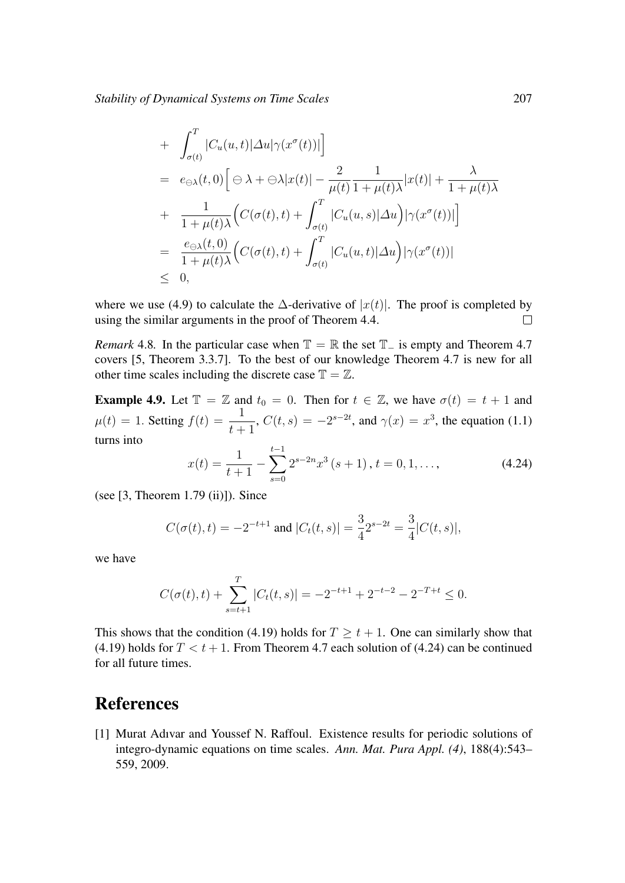*Stability of Dynamical Systems on Time Scales* 207

+ 
$$
\int_{\sigma(t)}^{T} |C_u(u,t)| \Delta u |\gamma(x^{\sigma}(t))|
$$
  
\n=  $e_{\Theta \lambda}(t,0) \Big[ \Theta \lambda + \Theta \lambda |x(t)| - \frac{2}{\mu(t)} \frac{1}{1 + \mu(t)\lambda} |x(t)| + \frac{\lambda}{1 + \mu(t)\lambda}$   
\n+ 
$$
\frac{1}{1 + \mu(t)\lambda} \Big( C(\sigma(t),t) + \int_{\sigma(t)}^{T} |C_u(u,s)| \Delta u \Big) |\gamma(x^{\sigma}(t))| \Big]
$$
  
\n= 
$$
\frac{e_{\Theta \lambda}(t,0)}{1 + \mu(t)\lambda} \Big( C(\sigma(t),t) + \int_{\sigma(t)}^{T} |C_u(u,t)| \Delta u \Big) |\gamma(x^{\sigma}(t))|
$$
  
\n $\leq 0,$ 

where we use (4.9) to calculate the  $\Delta$ -derivative of  $|x(t)|$ . The proof is completed by using the similar arguments in the proof of Theorem 4.4.  $\Box$ 

*Remark* 4.8*.* In the particular case when  $\mathbb{T} = \mathbb{R}$  the set  $\mathbb{T}_-$  is empty and Theorem 4.7 covers [5, Theorem 3.3.7]. To the best of our knowledge Theorem 4.7 is new for all other time scales including the discrete case  $\mathbb{T} = \mathbb{Z}$ .

**Example 4.9.** Let  $\mathbb{T} = \mathbb{Z}$  and  $t_0 = 0$ . Then for  $t \in \mathbb{Z}$ , we have  $\sigma(t) = t + 1$  and  $\mu(t) = 1$ . Setting  $f(t) = \frac{1}{t+1}$ ,  $C(t, s) = -2^{s-2t}$ , and  $\gamma(x) = x^3$ , the equation (1.1) turns into

$$
x(t) = \frac{1}{t+1} - \sum_{s=0}^{t-1} 2^{s-2n} x^3 (s+1), t = 0, 1, ...,
$$
 (4.24)

(see  $[3,$  Theorem 1.79 $(ii)$ ]). Since

$$
C(\sigma(t), t) = -2^{-t+1}
$$
 and  $|C_t(t, s)| = \frac{3}{4} 2^{s-2t} = \frac{3}{4} |C(t, s)|$ ,

we have

$$
C(\sigma(t),t) + \sum_{s=t+1}^{T} |C_t(t,s)| = -2^{-t+1} + 2^{-t-2} - 2^{-T+t} \le 0.
$$

This shows that the condition (4.19) holds for  $T \ge t + 1$ . One can similarly show that (4.19) holds for  $T < t + 1$ . From Theorem 4.7 each solution of (4.24) can be continued for all future times.

## References

[1] Murat Adıvar and Youssef N. Raffoul. Existence results for periodic solutions of integro-dynamic equations on time scales. *Ann. Mat. Pura Appl. (4)*, 188(4):543– 559, 2009.